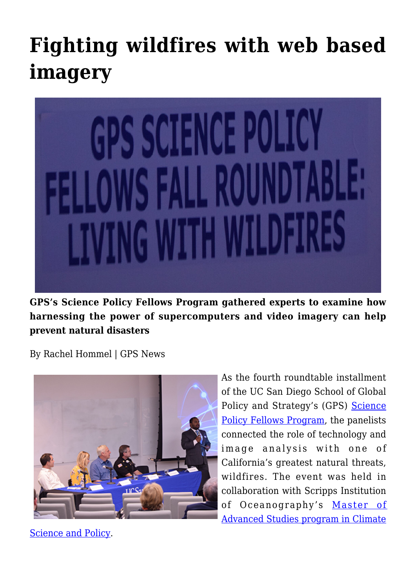## **[Fighting wildfires with web based](https://gpsnews.ucsd.edu/fighting-wildfires-with-web-based-imagery/) [imagery](https://gpsnews.ucsd.edu/fighting-wildfires-with-web-based-imagery/)**



**GPS's Science Policy Fellows Program gathered experts to examine how harnessing the power of supercomputers and video imagery can help prevent natural disasters**

By Rachel Hommel | GPS News



As the fourth roundtable installment of the UC San Diego School of Global Policy and Strategy's (GPS) [Science](https://gps.ucsd.edu/faculty-research/research/science-policy-fellows.html) [Policy Fellows Program,](https://gps.ucsd.edu/faculty-research/research/science-policy-fellows.html) the panelists connected the role of technology and image analysis with one of California's greatest natural threats, wildfires. The event was held in collaboration with Scripps Institution of Oceanography's [Master of](https://scripps.ucsd.edu/masters/mas/climate-science-and-policy) [Advanced Studies program in Climate](https://scripps.ucsd.edu/masters/mas/climate-science-and-policy)

[Science and Policy](https://scripps.ucsd.edu/masters/mas/climate-science-and-policy).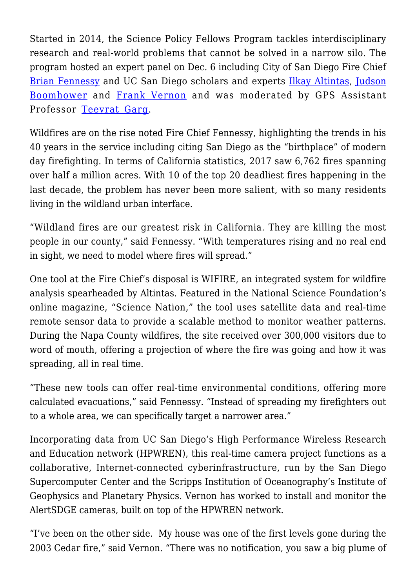Started in 2014, the Science Policy Fellows Program tackles interdisciplinary research and real-world problems that cannot be solved in a narrow silo. The program hosted an expert panel on Dec. 6 including City of San Diego Fire Chief [Brian Fennessy](https://www.sandiego.gov/fire/about/firechief) and UC San Diego scholars and experts [Ilkay Altintas](https://wifire.ucsd.edu/about-team), [Judson](http://www.judsonboomhower.com/) [Boomhower](http://www.judsonboomhower.com/) and [Frank Vernon](http://scrippsscholars.ucsd.edu/flvernon/biocv) and was moderated by GPS Assistant Professor [Teevrat Garg.](https://gps.ucsd.edu/faculty-directory/teevrat-garg.html)

Wildfires are on the rise noted Fire Chief Fennessy, highlighting the trends in his 40 years in the service including citing San Diego as the "birthplace" of modern day firefighting. In terms of California statistics, 2017 saw 6,762 fires spanning over half a million acres. With 10 of the top 20 deadliest fires happening in the last decade, the problem has never been more salient, with so many residents living in the wildland urban interface.

"Wildland fires are our greatest risk in California. They are killing the most people in our county," said Fennessy. "With temperatures rising and no real end in sight, we need to model where fires will spread."

One tool at the Fire Chief's disposal is WIFIRE, an integrated system for wildfire analysis spearheaded by Altintas. Featured in the National Science Foundation's online magazine, "Science Nation," the tool uses satellite data and real-time remote sensor data to provide a scalable method to monitor weather patterns. During the Napa County wildfires, the site received over 300,000 visitors due to word of mouth, offering a projection of where the fire was going and how it was spreading, all in real time.

"These new tools can offer real-time environmental conditions, offering more calculated evacuations," said Fennessy. "Instead of spreading my firefighters out to a whole area, we can specifically target a narrower area."

Incorporating data from UC San Diego's High Performance Wireless Research and Education network (HPWREN), this real-time camera project functions as a collaborative, Internet-connected cyberinfrastructure, run by the San Diego Supercomputer Center and the Scripps Institution of Oceanography's Institute of Geophysics and Planetary Physics. Vernon has worked to install and monitor the AlertSDGE cameras, built on top of the HPWREN network.

"I've been on the other side. My house was one of the first levels gone during the 2003 Cedar fire," said Vernon. "There was no notification, you saw a big plume of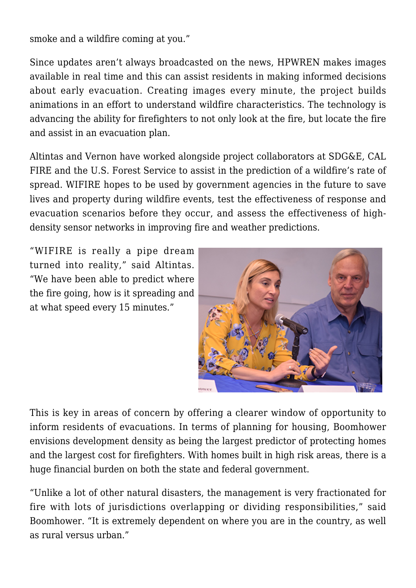smoke and a wildfire coming at you."

Since updates aren't always broadcasted on the news, HPWREN makes images available in real time and this can assist residents in making informed decisions about early evacuation. Creating images every minute, the project builds animations in an effort to understand wildfire characteristics. The technology is advancing the ability for firefighters to not only look at the fire, but locate the fire and assist in an evacuation plan.

Altintas and Vernon have worked alongside project collaborators at SDG&E, CAL FIRE and the U.S. Forest Service to assist in the prediction of a wildfire's rate of spread. WIFIRE hopes to be used by government agencies in the future to save lives and property during wildfire events, test the effectiveness of response and evacuation scenarios before they occur, and assess the effectiveness of highdensity sensor networks in improving fire and weather predictions.

"WIFIRE is really a pipe dream turned into reality," said Altintas. "We have been able to predict where the fire going, how is it spreading and at what speed every 15 minutes."



This is key in areas of concern by offering a clearer window of opportunity to inform residents of evacuations. In terms of planning for housing, Boomhower envisions development density as being the largest predictor of protecting homes and the largest cost for firefighters. With homes built in high risk areas, there is a huge financial burden on both the state and federal government.

"Unlike a lot of other natural disasters, the management is very fractionated for fire with lots of jurisdictions overlapping or dividing responsibilities," said Boomhower. "It is extremely dependent on where you are in the country, as well as rural versus urban."